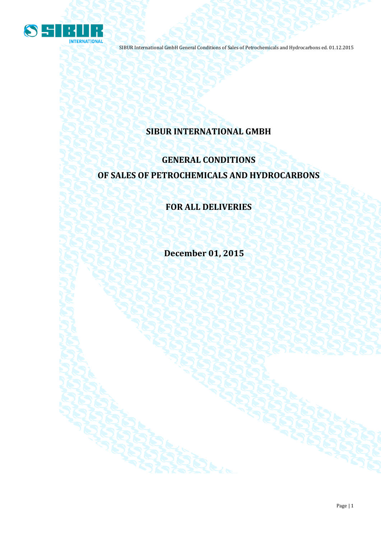

## **SIBUR INTERNATIONAL GMBH**

# **GENERAL CONDITIONS OF SALES OF PETROCHEMICALS AND HYDROCARBONS**

### **FOR ALL DELIVERIES**

**December 01, 2015**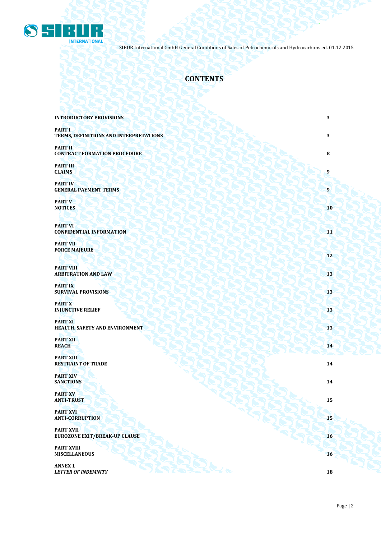

### **CONTENTS**

| <b>INTRODUCTORY PROVISIONS</b>                           | 3  |
|----------------------------------------------------------|----|
| <b>PART I</b><br>TERMS, DEFINITIONS AND INTERPRETATIONS  | 3  |
| <b>PART II</b><br><b>CONTRACT FORMATION PROCEDURE</b>    | 8  |
| <b>PART III</b><br><b>CLAIMS</b>                         | 9  |
| <b>PART IV</b><br><b>GENERAL PAYMENT TERMS</b>           | 9  |
| <b>PART V</b><br><b>NOTICES</b>                          | 10 |
| <b>PART VI</b><br><b>CONFIDENTIAL INFORMATION</b>        | 11 |
| <b>PART VII</b><br><b>FORCE MAJEURE</b>                  | 12 |
| <b>PART VIII</b><br><b>ARBITRATION AND LAW</b>           | 13 |
| <b>PART IX</b><br><b>SURVIVAL PROVISIONS</b>             | 13 |
| <b>PART X</b><br><b>INJUNCTIVE RELIEF</b>                | 13 |
| <b>PART XI</b><br>HEALTH, SAFETY AND ENVIRONMENT         | 13 |
| <b>PART XII</b><br><b>REACH</b>                          | 14 |
| <b>PART XIII</b><br><b>RESTRAINT OF TRADE</b>            | 14 |
| <b>PART XIV</b><br><b>SANCTIONS</b>                      | 14 |
| <b>PART XV</b><br><b>ANTI-TRUST</b>                      | 15 |
| <b>PART XVI</b><br><b>ANTI-CORRUPTION</b>                | 15 |
| <b>PART XVII</b><br><b>EUROZONE EXIT/BREAK-UP CLAUSE</b> | 16 |
| <b>PART XVIII</b><br><b>MISCELLANEOUS</b>                | 16 |
| <b>ANNEX 1</b><br><b>LETTER OF INDEMNITY</b>             | 18 |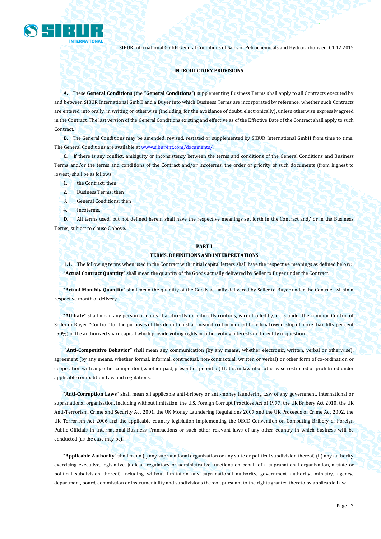

#### **INTRODUCTORY PROVISIONS**

**A.** These **General Conditions** (the "**General Conditions**") supplementing Business Terms shall apply to all Contracts executed by and between SIBUR International GmbH and a Buyer into which Business Terms are incorporated by reference, whether such Contracts are entered into orally, in writing or otherwise (including, for the avoidance of doubt, electronically), unless otherwise expressly agreed in the Contract. The last version of the General Conditions existing and effective as of the Effective Date of the Contract shall apply to such Contract.

**B.** The General Conditions may be amended, revised, restated or supplemented by SIBUR International GmbH from time to time. The General Conditions are available a[t www.sibur-int.com/](http://www.sibur-int.com/)documents/.

**C.** If there is any conflict, ambiguity or inconsistency between the terms and conditions of the General Conditions and Business Terms and/or the terms and conditions of the Contract and/or Incoterms, the order of priority of such documents (from highest to lowest) shall be as follows:

- 1. the Contract; then
- 2. Business Terms; then
- 3. General Conditions; then
- 4. Incoterms.

**D.** All terms used, but not defined herein shall have the respective meanings set forth in the Contract and/ or in the Business Terms, subject to clause C above.

#### **PART I**

#### **TERMS, DEFINITIONS AND INTERPRETATIONS**

**1.1.** The following terms when used in the Contract with initial capital letters shall have the respective meanings as defined below: "**Actual Contract Quantity**" shall mean the quantity of the Goods actually delivered by Seller to Buyer under the Contract.

"**Actual Monthly Quantity**" shall mean the quantity of the Goods actually delivered by Seller to Buyer under the Contract within a respective month of delivery.

"**Affiliate**" shall mean any person or entity that directly or indirectly controls, is controlled by, or is under the common Control of Seller or Buyer. "Control" for the purposes of this definition shall mean direct or indirect beneficial ownership of more than fifty per cent (50%) of the authorized share capital which provide voting rights or other voting interests in the entity in question.

"**Anti-Competitive Behavior**" shall mean any communication (by any means, whether electronic, written, verbal or otherwise), agreement (by any means, whether formal, informal, contractual, non-contractual, written or verbal) or other form of co-ordination or cooperation with any other competitor (whether past, present or potential) that is unlawful or otherwise restricted or prohibited under applicable competition Law and regulations.

"**Anti-Corruption Laws**" shall mean all applicable anti-bribery or anti-money laundering Law of any government, international or supranational organization, including without limitation, the U.S. Foreign Corrupt Practices Act of 1977, the UK Bribery Act 2010, the UK Anti-Terrorism, Crime and Security Act 2001, the UK Money Laundering Regulations 2007 and the UK Proceeds of Crime Act 2002, the UK Terrorism Act 2006 and the applicable country legislation implementing the OECD Convention on Combating Bribery of Foreign Public Officials in International Business Transactions or such other relevant laws of any other country in which business will be conducted (as the case may be).

"**Applicable Authority**" shall mean (i) any supranational organization or any state or political subdivision thereof, (ii) any authority exercising executive, legislative, judicial, regulatory or administrative functions on behalf of a supranational organization, a state or political subdivision thereof, including without limitation any supranational authority, government authority, ministry, agency, department, board, commission or instrumentality and subdivisions thereof, pursuant to the rights granted thereto by applicable Law.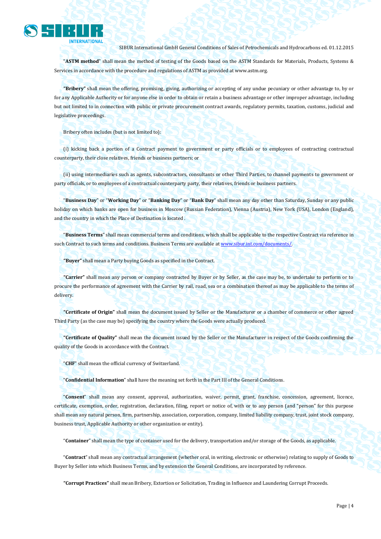

"**ASTM method**" shall mean the method of testing of the Goods based on the ASTM Standards for Materials, Products, Systems & Services in accordance with the procedure and regulations of ASTM as provided a[t www.astm.org.](http://www.astm.org/)

**"Bribery"** shall mean the offering, promising, giving, authorizing or accepting of any undue pecuniary or other advantage to, by or for any Applicable Authority or for anyone else in order to obtain or retain a business advantage or other improper advantage, including but not limited to in connection with public or private procurement contract awards, regulatory permits, taxation, customs, judicial and legislative proceedings.

Bribery often includes (but is not limited to):

(i) kicking back a portion of a Contract payment to government or party officials or to employees of contracting contractual counterparty, their close relatives, friends or business partners; or

(ii) using intermediaries such as agents, subcontractors, consultants or other Third Parties, to channel payments to government or party officials, or to employees of a contractual counterparty party, their relatives, friends or business partners.

"**Business Day**" or "**Working Day**" or "**Banking Day**" or "**Bank Day**" shall mean any day other than Saturday, Sunday or any public holiday on which banks are open for business in Moscow (Russian Federation), Vienna (Austria), New York (USA), London (England), and the country in which the Place of Destination is located .

"**Business Terms**" shall mean commercial terms and conditions, which shall be applicable to the respective Contract via reference in such Contract to such terms and conditions. Business Terms are available a[t www.sibur.int.com/documents/.](http://www.sibur.int.com/documents/)

**"Buyer"** shall mean a Party buying Goods as specified in the Contract.

**"Carrier"** shall mean any person or company contracted by Buyer or by Seller, as the case may be, to undertake to perform or to procure the performance of agreement with the Carrier by rail, road, sea or a combination thereof as may be applicable to the terms of delivery.

**"Certificate of Origin"** shall mean the document issued by Seller or the Manufacturer or a chamber of commerce or other agreed Third Party (as the case may be) specifying the country where the Goods were actually produced.

**"Certificate of Quality"** shall mean the document issued by the Seller or the Manufacturer in respect of the Goods confirming the quality of the Goods in accordance with the Contract.

"**CHF**" shall mean the official currency of Switzerland.

"**Confidential Information**" shall have the meaning set forth in the Part III of the General Conditions.

"**Consent**" shall mean any consent, approval, authorization, waiver, permit, grant, franchise, concession, agreement, licence, certificate, exemption, order, registration, declaration, filing, report or notice of, with or to any person (and "person" for this purpose shall mean any natural person, firm, partnership, association, corporation, company, limited liability company, trust, joint stock company, business trust, Applicable Authority or other organization or entity).

"**Container**" shall mean the type of container used for the delivery, transportation and/or storage of the Goods, as applicable.

"**Contract**" shall mean any contractual arrangement (whether oral, in writing, electronic or otherwise) relating to supply of Goods to Buyer by Seller into which Business Terms, and by extension the General Conditions, are incorporated by reference.

**"Corrupt Practices"** shall mean Bribery, Extortion or Solicitation, Trading in Influence and Laundering Corrupt Proceeds.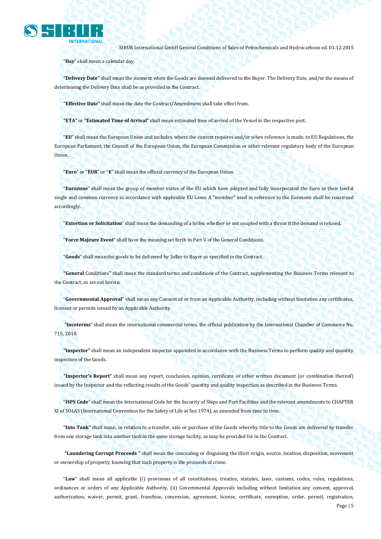

"**Day**" shall mean a calendar day.

**"Delivery Date"** shall mean the moment when the Goods are deemed delivered to the Buyer. The Delivery Date, and/or the means of determining the Delivery Date shall be as provided in the Contract.

**"Effective Date"** shall mean the date the Contract/Amendment shall take effect from.

**"ETA"** or **"Estimated Time of Arrival"** shall mean estimated time of arrival of the Vessel to the respective port.

"**EU**" shall mean the European Union and includes, where the context requires and/or when reference is made, to EU Regulations, the European Parliament, the Council of the European Union, the European Commission or other relevant regulatory body of the European Union.

"**Euro**" or "**EUR**" or "**€**" shall mean the official currency of the European Union.

"**Eurozone**" shall mean the group of member states of the EU which have adopted and fully incorporated the Euro as their lawful single and common currency in accordance with applicable EU Laws. A "member" used in reference to the Eurozone shall be construed accordingly.

"**Extortion or Solicitation**" shall mean the demanding of a bribe, whether or not coupled with a threat if the demand is refused.

"**Force Majeure Event**" shall have the meaning set forth in Part V of the General Conditions.

"**Goods**" shall mean the goods to be delivered by Seller to Buyer as specified in the Contract.

**"General** Conditions**"** shall mean the standard terms and conditions of the Contract, supplementing the Business Terms relevant to the Contract, as set out herein.

"**Governmental Approval**" shall mean any Consent of or from an Applicable Authority, including without limitation any certificates, licenses or permits issued by an Applicable Authority.

"**Incoterms**" shall mean the international commercial terms, the official publication by the International Chamber of Commerce No. 715, 2010.

**"Inspector"** shall mean an independent inspector appointed in accordance with the Business Terms to perform quality and quantity inspection of the Goods.

**"Inspector's Report"** shall mean any report, conclusion, opinion, certificate or other written document (or combination thereof) issued by the Inspector and the reflecting results of the Goods' quantity and quality inspection as described in the Business Terms.

"**ISPS Code**" shall mean the International Code for the Security of Ships and Port Facilities and the relevant amendments to CHAPTER XI of SOLAS (International Convention for the Safety of Life at Sea 1974), as amended from time to time.

**"Into Tank"** shall mean, in relation to a transfer, sale or purchase of the Goods whereby title to the Goods are delivered by transfer from one storage tank into another tank in the same storage facility, as may be provided for in the Contract.

**"Laundering Corrupt Proceeds "** shall mean the concealing or disguising the illicit origin, source, location, disposition, movement or ownership of property, knowing that such property is the proceeds of crime.

"**Law**" shall mean all applicable (i) provisions of all constitutions, treaties, statutes, laws, customs, codes, rules, regulations, ordinances or orders of any Applicable Authority, (ii) Governmental Approvals including without limitation any consent, approval, authorization, waiver, permit, grant, franchise, concession, agreement, license, certificate, exemption, order, permit, registration,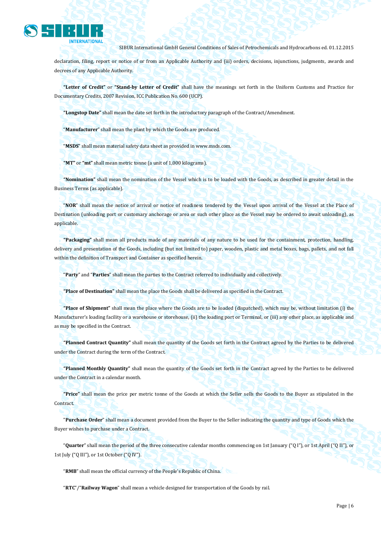

declaration, filing, report or notice of or from an Applicable Authority and (iii) orders, decisions, injunctions, judgments, awards and decrees of any Applicable Authority.

**"Letter of Credit"** or **"Stand-by Letter of Credit"** shall have the meanings set forth in the Uniform Customs and Practice for Documentary Credits, 2007 Revision, ICC Publication No. 600 (UCP).

**"Longstop Date"** shall mean the date set forth in the introductory paragraph of the Contract/Amendment.

"**Manufacturer**" shall mean the plant by which the Goods are produced.

"**MSDS**" shall mean material safety data sheet as provided in www.msds.com.

**"MT"** or **"mt"** shall mean metric tonne (a unit of 1,000 kilograms).

**"Nomination"** shall mean the nomination of the Vessel which is to be loaded with the Goods, as described in greater detail in the Business Terms (as applicable).

"**NOR**" shall mean the notice of arrival or notice of readiness tendered by the Vessel upon arrival of the Vessel at the Place of Destination (unloading port or customary anchorage or area or such other place as the Vessel may be ordered to await unloading), as applicable.

**"Packaging"** shall mean all products made of any materials of any nature to be used for the containment, protection, handling, delivery and presentation of the Goods, including (but not limited to) paper, wooden, plastic and metal boxes, bags, pallets, and not fall within the definition of Transport and Container as specified herein.

"**Party**" and "**Parties**" shall mean the parties to the Contract referred to individually and collectively.

**"Place of Destination"** shall mean the place the Goods shall be delivered as specified in the Contract.

**"Place of Shipment"** shall mean the place where the Goods are to be loaded (dispatched), which may be, without limitation (i) the Manufacturer's loading facility or a warehouse or storehouse, (ii) the loading port or Terminal, or (iii) any other place, as applicable and as may be specified in the Contract.

**"Planned Contract Quantity"** shall mean the quantity of the Goods set forth in the Contract agreed by the Parties to be delivered under the Contract during the term of the Contract.

**"Planned Monthly Quantity"** shall mean the quantity of the Goods set forth in the Contract agreed by the Parties to be delivered under the Contract in a calendar month.

**"Price"** shall mean the price per metric tonne of the Goods at which the Seller sells the Goods to the Buyer as stipulated in the Contract.

"**Purchase Order**" shall mean a document provided from the Buyer to the Seller indicating the quantity and type of Goods which the Buyer wishes to purchase under a Contract.

"**Quarter**" shall mean the period of the three consecutive calendar months commencing on 1st January ("Q I"), or 1st April ("Q II"), or 1st July ("Q III"), or 1st October ("Q IV").

"**RMB**" shall mean the official currency of the People's Republic of China.

"**RTC**"/"**Railway Wagon**" shall mean a vehicle designed for transportation of the Goods by rail.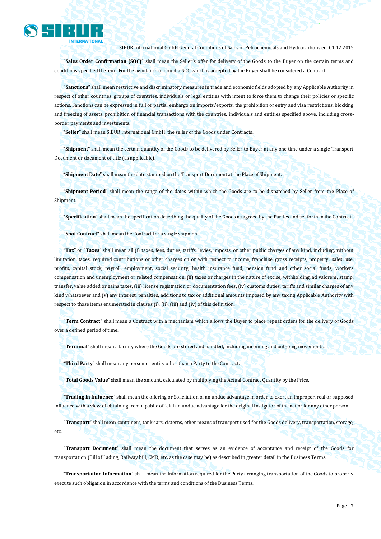

**"Sales Order Confirmation (SOC)"** shall mean the Seller's offer for delivery of the Goods to the Buyer on the certain terms and conditions specified therein. For the avoidance of doubt a SOC which is accepted by the Buyer shall be considered a Contract.

**"Sanctions"** shall mean restrictive and discriminatory measures in trade and economic fields adopted by any Applicable Authority in respect of other countries, groups of countries, individuals or legal entities with intent to force them to change their policies or specific actions. Sanctions can be expressed in full or partial embargo on imports/exports, the prohibition of entry and visa restrictions, blocking and freezing of assets, prohibition of financial transactions with the countries, individuals and entities specified above, including crossborder payments and investments.

"**Seller**" shall mean SIBUR International GmbH, the seller of the Goods under Contracts.

"**Shipment**" shall mean the certain quantity of the Goods to be delivered by Seller to Buyer at any one time under a single Transport Document or document of title (as applicable).

"**Shipment Date**" shall mean the date stamped on the Transport Document at the Place of Shipment.

"**Shipment Period**" shall mean the range of the dates within which the Goods are to be dispatched by Seller from the Place of Shipment.

"**Specification**" shall mean the specification describing the quality of the Goods as agreed by the Parties and set forth in the Contract.

**"Spot Contract"** shall mean the Contract for a single shipment.

"**Tax**" or "**Taxes**" shall mean all (i) taxes, fees, duties, tariffs, levies, imposts, or other public charges of any kind, including, without limitation, taxes, required contributions or other charges on or with respect to income, franchise, gross receipts, property, sales, use, profits, capital stock, payroll, employment, social security, health insurance fund, pension fund and other social funds, workers compensation and unemployment or related compensation, (ii) taxes or charges in the nature of excise, withholding, ad valorem, stamp, transfer, value added or gains taxes, (iii) license registration or documentation fees, (iv) customs duties, tariffs and similar charges of any kind whatsoever and (v) any interest, penalties, additions to tax or additional amounts imposed by any taxing Applicable Authority with respect to those items enumerated in clauses (i), (ii), (iii) and (iv) of this definition.

**"Term Contract"** shall mean a Contract with a mechanism which allows the Buyer to place repeat orders for the delivery of Goods over a defined period of time.

**"Terminal"** shall mean a facility where the Goods are stored and handled, including incoming and outgoing movements.

"**Third Party**" shall mean any person or entity other than a Party to the Contract.

**"Total Goods Value"** shall mean the amount, calculated by multiplying the Actual Contract Quantity by the Price.

"**Trading in Influence**" shall mean the offering or Solicitation of an undue advantage in order to exert an improper, real or supposed influence with a view of obtaining from a public official an undue advantage for the original instigator of the act or for any other person.

**"Transport"** shall mean containers, tank cars, cisterns, other means of transport used for the Goods delivery, transportation, storage, etc.

**"Transport Document**" shall mean the document that serves as an evidence of acceptance and receipt of the Goods for transportation (Bill of Lading, Railway bill, CMR, etc. as the case may be) as described in greater detail in the Business Terms.

"**Transportation Information**" shall mean the information required for the Party arranging transportation of the Goods to properly execute such obligation in accordance with the terms and conditions of the Business Terms.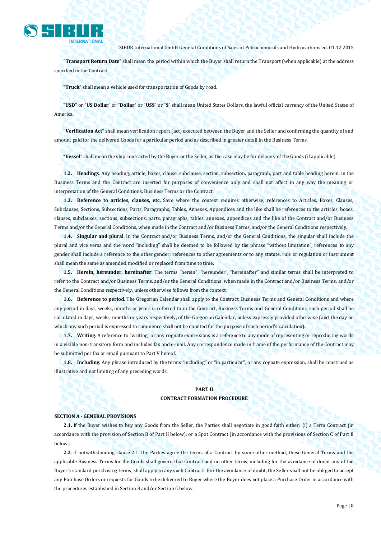

**"Transport Return Date**" shall mean the period within which the Buyer shall return the Transport (when applicable) at the address specified in the Contract.

"**Truck**" shall mean a vehicle used for transportation of Goods by road.

"**USD**" or "**US Dollar**" or "**Dollar**" or "**US\$**" or "**\$**" shall mean United States Dollars, the lawful official currency of the United States of America.

**"Verification Act"** shall mean verification report (act) executed between the Buyer and the Seller and confirming the quantity of and amount paid for the delivered Goods for a particular period and as described in greater detail in the Business Terms.

"**Vessel**" shall mean the ship contracted by the Buyer or the Seller, as the case may be for delivery of the Goods (if applicable).

**1.2. Headings**. Any heading, article, boxes, clause, subclause, section, subsection, paragraph, part and table heading herein, in the Business Terms and the Contract are inserted for purposes of convenience only and shall not affect in any way the meaning or interpretation of the General Conditions, Business Terms or the Contract.

**1.3. Reference to articles, clauses, etc.** Save where the context requires otherwise, references to Articles, Boxes, Clauses, Subclauses, Sections, Subsections, Parts, Paragraphs, Tables, Annexes, Appendices and the like shall be references to the articles, boxes, clauses, subclauses, sections, subsections, parts, paragraphs, tables, annexes, appendices and the like of the Contract and/or Business Terms and/or the General Conditions, when made in the Contract and/or Business Terms, and/or the General Conditions respectively.

**1.4. Singular and plural**. In the Contract and/or Business Terms, and/or the General Conditions, the singular shall include the plural and vice versa and the word "including" shall be deemed to be followed by the phrase "without limitation", references to any gender shall include a reference to the other gender; references to other agreements or to any statute, rule or regulation or instrument shall mean the same as amended, modified or replaced from time to time.

**1.5. Herein, hereunder, hereinafter**. The terms "herein", "hereunder", "hereinafter" and similar terms shall be interpreted to refer to the Contract and/or Business Terms, and/or the General Conditions, when made in the Contract and/or Business Terms, and/or the General Conditions respectively, unless otherwise follows from the context.

**1.6. Reference to period**. The Gregorian Calendar shall apply to the Contract, Business Terms and General Conditions and where any period in days, weeks, months or years is referred to in the Contract, Business Terms and General Conditions, such period shall be calculated in days, weeks, months or years respectively, of the Gregorian Calendar, unless expressly provided otherwise (and the day on which any such period is expressed to commence shall not be counted for the purpose of such period's calculation).

**1.7. Writing**. A reference to "writing" or any cognate expressions is a reference to any mode of representing or reproducing words in a visible non-transitory form and includes fax and e-mail. Any correspondence made in frame of the performance of the Contract may be submitted per fax or email pursuant to Part V hereof.

**1.8. Including**. Any phrase introduced by the terms "including" or "in particular", or any cognate expression, shall be construed as illustrative and not limiting of any preceding words.

#### **PART II**

#### **CONTRACT FORMATION PROCEDURE**

#### **SECTION A - GENERAL PROVISIONS**

**2.1.** If the Buyer wishes to buy any Goods from the Seller, the Parties shall negotiate in good faith either: (i) a Term Contract (in accordance with the provision of Section B of Part II below); or a Spot Contract (in accordance with the provisions of Section C of Part II below).

**2.2**. If notwithstanding clause 2.1. the Parties agree the terms of a Contract by some other method, these General Terms and the applicable Business Terms for the Goods shall govern that Contract and no other terms, including for the avoidance of doubt any of the Buyer's standard purchasing terms, shall apply to any such Contract. For the avoidance of doubt, the Seller shall not be obliged to accept any Purchase Orders or requests for Goods to be delivered to Buyer where the Buyer does not place a Purchase Order in accordance with the procedures established in Section B and/or Section C below.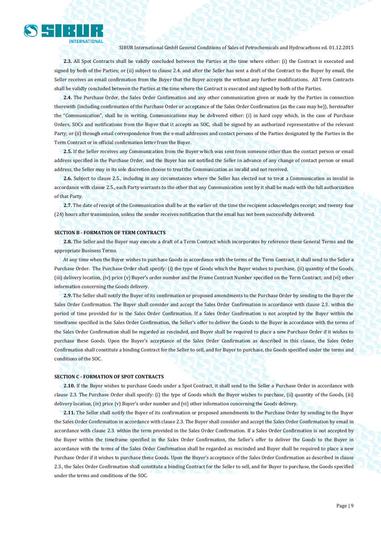

**2.3.** All Spot Contracts shall be validly concluded between the Parties at the time where either: (i) the Contract is executed and signed by both of the Parties; or (ii) subject to clause 2.4, and after the Seller has sent a draft of the Contract to the Buyer by email, the Seller receives an email confirmation from the Buyer that the Buyer accepts the without any further modifications. All Term Contracts shall be validly concluded between the Parties at the time where the Contract is executed and signed by both of the Parties.

**2.4.** The Purchase Order, the Sales Order Confirmation and any other communication given or made by the Parties in connection therewith (including confirmation of the Purchase Order or acceptance of the Sales Order Confirmation (as the case may be)), hereinafter the "Communication", shall be in writing. Communications may be delivered either: (i) in hard copy which, in the case of Purchase Orders, SOCs and notifications from the Buyer that it accepts an SOC, shall be signed by an authorized representative of the relevant Party; or (ii) through email correspondence from the e-mail addresses and contact persons of the Parties designated by the Parties in the Term Contract or in official confirmation letter from the Buyer.

**2.5.** If the Seller receives any Communication from the Buyer which was sent from someone other than the contact person or email address specified in the Purchase Order, and the Buyer has not notified the Seller in advance of any change of contact person or email address, the Seller may in its sole discretion choose to treat the Communication as invalid and not received.

**2.6.** Subject to clause 2.5., including in any circumstances where the Seller has elected not to treat a Communication as invalid in accordance with clause 2.5., each Party warrants to the other that any Communication sent by it shall be made with the full authorization of that Party.

**2.7.** The date of receipt of the Communication shall be at the earlier of: the time the recipient acknowledges receipt; and twenty four (24) hours after transmission, unless the sender receives notification that the email has not been successfully delivered.

#### **SECTION B - FORMATION OF TERM CONTRACTS**

**2.8.** The Seller and the Buyer may execute a draft of a Term Contract which incorporates by reference these General Terms and the appropriate Business Terms.

At any time when the Buyer wishes to purchase Goods in accordance with the terms of the Term Contract, it shall send to the Seller a Purchase Order. The Purchase Order shall specify: (i) the type of Goods which the Buyer wishes to purchase, (ii) quantity of the Goods, (iii) delivery location, (iv) price (v) Buyer's order number and the Frame Contract Number specified on the Term Contract; and (vi) other information concerning the Goods delivery.

**2.9.** The Seller shall notify the Buyer of its confirmation or proposed amendments to the Purchase Order by sending to the Buyer the Sales Order Confirmation. The Buyer shall consider and accept the Sales Order Confirmation in accordance with clause 2.3. within the period of time provided for in the Sales Order Confirmation. If a Sales Order Confirmation is not accepted by the Buyer within the timeframe specified in the Sales Order Confirmation, the Seller's offer to deliver the Goods to the Buyer in accordance with the terms of the Sales Order Confirmation shall be regarded as rescinded, and Buyer shall be required to place a new Purchase Order if it wishes to purchase these Goods. Upon the Buyer's acceptance of the Sales Order Confirmation as described in this clause, the Sales Order Confirmation shall constitute a binding Contract for the Seller to sell, and for Buyer to purchase, the Goods specified under the terms and conditions of the SOC.

#### **SECTION C - FORMATION OF SPOT CONTRACTS**

**2.10.** If the Buyer wishes to purchase Goods under a Spot Contract, it shall send to the Seller a Purchase Order in accordance with clause 2.3. The Purchase Order shall specify: (i) the type of Goods which the Buyer wishes to purchase, (ii) quantity of the Goods, (iii) delivery location, (iv) price (v) Buyer's order number and (vi) other information concerning the Goods delivery.

**2.11.** The Seller shall notify the Buyer of its confirmation or proposed amendments to the Purchase Order by sending to the Buyer the Sales Order Confirmation in accordance with clause 2.3. The Buyer shall consider and accept the Sales Order Confirmation by email in accordance with clause 2.3. within the term provided in the Sales Order Confirmation. If a Sales Order Confirmation is not accepted by the Buyer within the timeframe specified in the Sales Order Confirmation, the Seller's offer to deliver the Goods to the Buyer in accordance with the terms of the Sales Order Confirmation shall be regarded as rescinded and Buyer shall be required to place a new Purchase Order if it wishes to purchase these Goods. Upon the Buyer's acceptance of the Sales Order Confirmation as described in clause 2.3., the Sales Order Confirmation shall constitute a binding Contract for the Seller to sell, and for Buyer to purchase, the Goods specified under the terms and conditions of the SOC.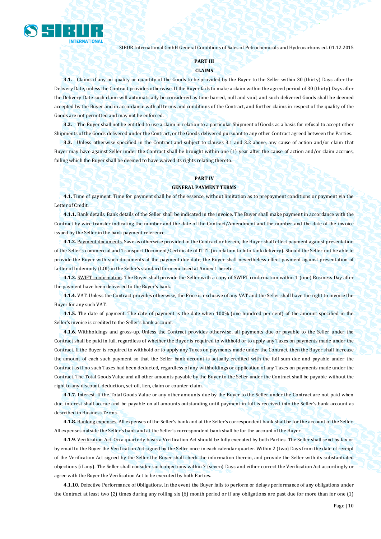

#### **PART III**

#### **CLAIMS**

**3.1.** Claims if any on quality or quantity of the Goods to be provided by the Buyer to the Seller within 30 (thirty) Days after the Delivery Date, unless the Contract provides otherwise. If the Buyer fails to make a claim within the agreed period of 30 (thirty) Days after the Delivery Date such claim will automatically be considered as time barred, null and void, and such delivered Goods shall be deemed accepted by the Buyer and in accordance with all terms and conditions of the Contract, and further claims in respect of the quality of the Goods are not permitted and may not be enforced.

**3.2.** The Buyer shall not be entitled to use a claim in relation to a particular Shipment of Goods as a basis for refusal to accept other Shipments of the Goods delivered under the Contract, or the Goods delivered pursuant to any other Contract agreed between the Parties.

**3.3.** Unless otherwise specified in the Contract and subject to clauses 3.1 and 3.2 above, any cause of action and/or claim that Buyer may have against Seller under the Contract shall be brought within one (1) year after the cause of action and/or claim accrues, failing which the Buyer shall be deemed to have waived its rights relating thereto**.**

### **PART IV**

#### **GENERAL PAYMENT TERMS**

**4.1.** Time of payment. Time for payment shall be of the essence, without limitation as to prepayment conditions or payment via the Letter of Credit.

**4.1.1.** Bank details. Bank details of the Seller shall be indicated in the invoice. The Buyer shall make payment in accordance with the Contract by wire transfer indicating the number and the date of the Contract/Amendment and the number and the date of the invoice issued by the Seller in the bank payment reference.

**4.1.2.** Payment documents. Save as otherwise provided in the Contract or herein, the Buyer shall effect payment against presentation of the Seller's commercial and Transport Document/Certificate of ITTT (in relation to Into tank delivery). Should the Seller not be able to provide the Buyer with such documents at the payment due date, the Buyer shall nevertheless effect payment against presentation of Letter of Indemnity (LOI) in the Seller's standard form enclosed at Annex 1 hereto.

**4.1.3.** SWIFT confirmation. The Buyer shall provide the Seller with a copy of SWIFT confirmation within 1 (one) Business Day after the payment have been delivered to the Buyer's bank.

**4.1.4.** VAT. Unless the Contract provides otherwise, the Price is exclusive of any VAT and the Seller shall have the right to invoice the Buyer for any such VAT.

**4.1.5.** The date of payment. The date of payment is the date when 100% (one hundred per cent) of the amount specified in the Seller's invoice is credited to the Seller's bank account.

**4.1.6.** Withholdings and gross-up. Unless the Contract provides otherwise, all payments due or payable to the Seller under the Contract shall be paid in full, regardless of whether the Buyer is required to withhold or to apply any Taxes on payments made under the Contract. If the Buyer is required to withhold or to apply any Taxes on payments made under the Contract, then the Buyer shall increase the amount of each such payment so that the Seller bank account is actually credited with the full sum due and payable under the Contract as if no such Taxes had been deducted, regardless of any withholdings or application of any Taxes on payments made under the Contract. The Total Goods Value and all other amounts payable by the Buyer to the Seller under the Contract shall be payable without the right to any discount, deduction, set-off, lien, claim or counter-claim.

**4.1.7.** Interest. If the Total Goods Value or any other amounts due by the Buyer to the Seller under the Contract are not paid when due, interest shall accrue and be payable on all amounts outstanding until payment in full is received into the Seller's bank account as described in Business Terms.

**4.1.8.** Banking expenses. All expenses of the Seller's bank and at the Seller's correspondent bank shall be for the account of the Seller. All expenses outside the Seller's bank and at the Seller's correspondent bank shall be for the account of the Buyer.

**4.1.9.** Verification Act. On a quarterly basis a Verification Act should be fully executed by both Parties. The Seller shall send by fax or by email to the Buyer the Verification Act signed by the Seller once in each calendar quarter. Within 2 (two) Days from the date of receipt of the Verification Act signed by the Seller the Buyer shall check the information therein, and provide the Seller with its substantiated objections (if any). The Seller shall consider such objections within 7 (seven) Days and either correct the Verification Act accordingly or agree with the Buyer the Verification Act to be executed by both Parties.

**4.1.10.** Defective Performance of Obligations. In the event the Buyer fails to perform or delays performance of any obligations under the Contract at least two (2) times during any rolling six (6) month period or if any obligations are past due for more than for one (1)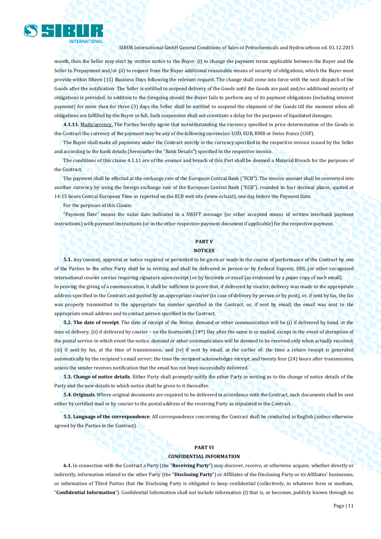

month, then the Seller may elect by written notice to the Buyer: (i) to change the payment terms applicable between the Buyer and the Seller to Prepayment and/or (ii) to request from the Buyer additional reasonable means of security of obligations, which the Buyer must provide within fifteen (15) Business Days following the relevant request. The change shall come into force with the next dispatch of the Goods after the notification. The Seller is entitled to suspend delivery of the Goods until the Goods are paid and/or additional security of obligations is provided. In addition to the foregoing should the Buyer fails to perform any of its payment obligations (including interest payment) for more than for three (3) days the Seller shall be entitled to suspend the shipment of the Goods till the moment when all obligations are fulfilled by the Buyer in full. Such suspension shall not constitute a delay for the purposes of liquidated damages.

**4.1.11.** Multicurrency. The Parties hereby agree that notwithstanding the currency specified in price determination of the Goods in the Contract the currency of the payment may be any of the following currencies: USD, EUR, RMB or Swiss francs (CHF).

The Buyer shall make all payments under the Contract strictly in the currency specified in the respective invoice issued by the Seller and according to the bank details (hereinafter the "Bank Details") specified in the respective invoice.

The conditions of this clause 4.1.11 are of the essence and breach of this Part shall be deemed a Material Breach for the purposes of the Contract.

The payment shall be effected at the exchange rate of the European Central Bank ("ECB"). The invoice amount shall be converted into another currency by using the foreign exchange rate of the European Central Bank ("ECB"), rounded to four decimal places, quoted at 14:15 hours Central European Time as reported on the ECB web site (www.ecb.int), one day before the Payment Date.

For the purposes of this Clause:

"Payment Date" means the value date indicated in a SWIFT message (or other accepted means of written interbank payment instructions) with payment instructions (or in the other respective payment document if applicable) for the respective payment.

### **PART V**

#### **NOTICES**

**5.1.** Any consent, approval or notice required or permitted to be given or made in the course of performance of the Contract by one of the Parties to the other Party shall be in writing and shall be delivered in person or by Federal Express, DHL (or other recognised international courier service requiring signature upon receipt) or by facsimile or email (as evidenced by a paper copy of such email). In proving the giving of a communication, it shall be sufficient to prove that, if delivered by courier, delivery was made to the appropriate address specified in the Contract and posted by an appropriate courier (in case of delivery by person or by post), or, if sent by fax, the fax was properly transmitted to the appropriate fax number specified in the Contract, or, if sent by email, the email was sent to the appropriate email address and to contact person specified in the Contract.

**5.2. The date of receipt**. The date of receipt of the Notice, demand or other communication will be (i) if delivered by hand, at the time of delivery, (ii) if delivered by courier – on the fourteenth (14<sup>th</sup>) Day after the same is so mailed, except in the event of disruption of the postal service in which event the notice, demand or other communication will be deemed to be received only when actually received; (iii) if sent by fax, at the time of transmission; and (iv) if sent by email, at the earlier of: the time a return receipt is generated automatically by the recipient's email server; the time the recipient acknowledges receipt; and twenty four (24) hours after transmission, unless the sender receives notification that the email has not been successfully delivered.

**5.3. Change of notice details**. Either Party shall promptly notify the other Party in writing as to the change of notice details of the Party and the new details to which notice shall be given to it thereafter.

**5.4. Originals**. Where original documents are required to be delivered in accordance with the Contract, such documents shall be sent either by certified mail or by courier to the postal address of the receiving Party as stipulated in the Contract.

**5.5. Language of the correspondence**. All correspondence concerning the Contract shall be conducted in English (unless otherwise agreed by the Parties in the Contract).

#### **PART VI**

#### **CONFIDENTIAL INFORMATION**

**6.1.** In connection with the Contract a Party (the "**Receiving Party**") may discover, receive, or otherwise acquire, whether directly or indirectly, information related to the other Party (the "**Disclosing Party**") or Affiliates of the Disclosing Party or its Affiliates' businesses, or information of Third Parties that the Disclosing Party is obligated to keep confidential (collectively, in whatever form or medium, "**Confidential Information**"). Confidential Information shall not include information (i) that is, or becomes, publicly known through no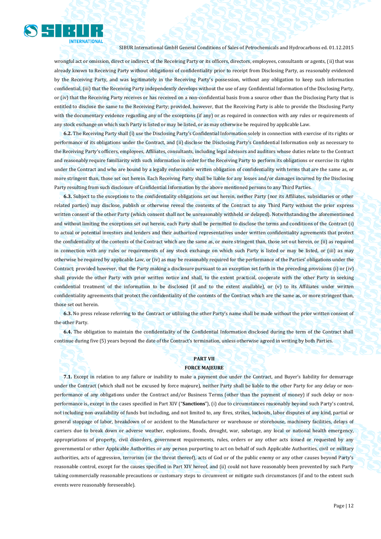

wrongful act or omission, direct or indirect, of the Receiving Party or its officers, directors, employees, consultants or agents, (ii) that was already known to Receiving Party without obligations of confidentiality prior to receipt from Disclosing Party, as reasonably evidenced by the Receiving Party, and was legitimately in the Receiving Party's possession, without any obligation to keep such information confidential, (iii) that the Receiving Party independently develops without the use of any Confidential Information of the Disclosing Party, or (iv) that the Receiving Party receives or has received on a non-confidential basis from a source other than the Disclosing Party that is entitled to disclose the same to the Receiving Party; provided, however, that the Receiving Party is able to provide the Disclosing Party with the documentary evidence regarding any of the exceptions (if any) or as required in connection with any rules or requirements of any stock exchange on which such Party is listed or may be listed, or as may otherwise be required by applicable Law.

**6.2.** The Receiving Party shall (i) use the Disclosing Party's Confidential Information solely in connection with exercise of its rights or performance of its obligations under the Contract, and (ii) disclose the Disclosing Party's Confidential Information only as necessary to the Receiving Party's officers, employees, Affiliates, consultants, including legal advisors and auditors whose duties relate to the Contract and reasonably require familiarity with such information in order for the Receiving Party to perform its obligations or exercise its rights under the Contract and who are bound by a legally enforceable written obligation of confidentiality with terms that are the same as, or more stringent than, those set out herein. Each Receiving Party shall be liable for any losses and/or damages incurred by the Disclosing Party resulting from such disclosure of Confidential Information by the above mentioned persons to any Third Parties.

**6.3.** Subject to the exceptions to the confidentiality obligations set out herein, neither Party (nor its Affiliates, subsidiaries or other related parties) may disclose, publish or otherwise reveal the contents of the Contract to any Third Party without the prior express written consent of the other Party (which consent shall not be unreasonably withheld or delayed). Notwithstanding the aforementioned and without limiting the exceptions set out herein, each Party shall be permitted to disclose the terms and conditions of the Contract (i) to actual or potential investors and lenders and their authorized representatives under written confidentiality agreements that protect the confidentiality of the contents of the Contract which are the same as, or more stringent than, those set out herein, or (ii) as required in connection with any rules or requirements of any stock exchange on which such Party is listed or may be listed, or (iii) as may otherwise be required by applicable Law, or (iv) as may be reasonably required for the performance of the Parties' obligations under the Contract; provided however, that the Party making a disclosure pursuant to an exception set forth in the preceding provisions (i) or (iv) shall provide the other Party with prior written notice and shall, to the extent practical, cooperate with the other Party in seeking confidential treatment of the information to be disclosed (if and to the extent available), or (v) to its Affiliates under written confidentiality agreements that protect the confidentiality of the contents of the Contract which are the same as, or more stringent than, those set out herein.

**6.3.** No press release referring to the Contract or utilizing the other Party's name shall be made without the prior written consent of the other Party.

**6.4.** The obligation to maintain the confidentiality of the Confidential Information disclosed during the term of the Contract shall continue during five (5) years beyond the date of the Contract's termination, unless otherwise agreed in writing by both Parties.

#### **PART VII FORCE MAJEURE**

**7.1.** Except in relation to any failure or inability to make a payment due under the Contract, and Buyer's liability for demurrage under the Contract (which shall not be excused by force majeure), neither Party shall be liable to the other Party for any delay or nonperformance of any obligations under the Contract and/or Business Terms (other than the payment of money) if such delay or nonperformance is, except in the cases specified in Part XIV ("**Sanctions**"), (i) due to circumstances reasonably beyond such Party's control, not including non-availability of funds but including, and not limited to, any fires, strikes, lockouts, labor disputes of any kind, partial or general stoppage of labor, breakdown of or accident to the Manufacturer or warehouse or storehouse, machinery facilities, delays of carriers due to break down or adverse weather, explosions, floods, drought, war, sabotage, any local or national health emergency, appropriations of property, civil disorders, government requirements, rules, orders or any other acts issued or requested by any governmental or other Applicable Authorities or any person purporting to act on behalf of such Applicable Authorities, civil or military authorities, acts of aggression, terrorism (or the threat thereof), acts of God or of the public enemy or any other causes beyond Party's reasonable control, except for the causes specified in Part XIV hereof, and (ii) could not have reasonably been prevented by such Party taking commercially reasonable precautions or customary steps to circumvent or mitigate such circumstances (if and to the extent such events were reasonably foreseeable).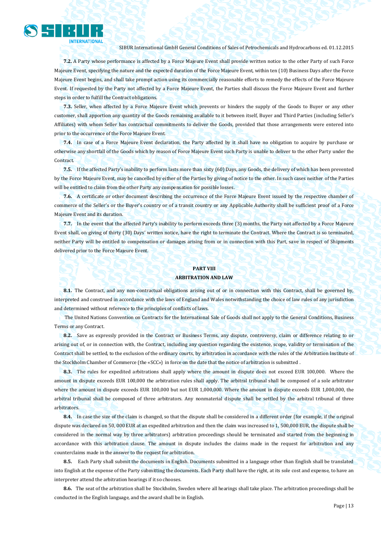

**7.2.** A Party whose performance is affected by a Force Majeure Event shall provide written notice to the other Party of such Force Majeure Event, specifying the nature and the expected duration of the Force Majeure Event, within ten (10) Business Days after the Force Majeure Event begins, and shall take prompt action using its commercially reasonable efforts to remedy the effects of the Force Majeure Event. If requested by the Party not affected by a Force Majeure Event, the Parties shall discuss the Force Majeure Event and further steps in order to fulfill the Contract obligations.

**7.3.** Seller, when affected by a Force Majeure Event which prevents or hinders the supply of the Goods to Buyer or any other customer, shall apportion any quantity of the Goods remaining available to it between itself, Buyer and Third Parties (including Seller's Affiliates) with whom Seller has contractual commitments to deliver the Goods, provided that those arrangements were entered into prior to the occurrence of the Force Majeure Event.

**7.4.** In case of a Force Majeure Event declaration, the Party affected by it shall have no obligation to acquire by purchase or otherwise any shortfall of the Goods which by reason of Force Majeure Event such Party is unable to deliver to the other Party under the Contract.

**7.5.** If the affected Party's inability to perform lasts more than sixty (60) Days, any Goods, the delivery of which has been prevented by the Force Majeure Event, may be cancelled by either of the Parties by giving of notice to the other. In such cases neither of the Parties will be entitled to claim from the other Party any compensation for possible losses.

**7.6.** A certificate or other document describing the occurrence of the Force Majeure Event issued by the respective chamber of commerce of the Seller's or the Buyer's country or of a transit country or any Applicable Authority shall be sufficient proof of a Force Majeure Event and its duration.

**7.7.** In the event that the affected Party's inability to perform exceeds three (3) months, the Party not affected by a Force Majeure Event shall, on giving of thirty (30) Days' written notice, have the right to terminate the Contract. Where the Contract is so terminated, neither Party will be entitled to compensation or damages arising from or in connection with this Part, save in respect of Shipments delivered prior to the Force Majeure Event.

#### **PART VIII ARBITRATION AND LAW**

**8.1.** The Contract, and any non-contractual obligations arising out of or in connection with this Contract, shall be governed by, interpreted and construed in accordance with the laws of England and Wales notwithstanding the choice of law rules of any jurisdiction and determined without reference to the principles of conflicts of laws.

The United Nations Convention on Contracts for the International Sale of Goods shall not apply to the General Conditions, Business Terms or any Contract.

**8.2.** Save as expressly provided in the Contract or Business Terms, any dispute, controversy, claim or difference relating to or arising out of, or in connection with, the Contract, including any question regarding the existence, scope, validity or termination of the Contract shall be settled, to the exclusion of the ordinary courts, by arbitration in accordance with the rules of the Arbitration Institute of the Stockholm Chamber of Commerce (the «SCC») in force on the date that the notice of arbitration is submitted .

**8.3.** The rules for expedited arbitrations shall apply where the amount in dispute does not exceed EUR 100,000. Where the amount in dispute exceeds EUR 100,000 the arbitration rules shall apply. The arbitral tribunal shall be composed of a sole arbitrator where the amount in dispute exceeds EUR 100,000 but not EUR 1,000,000. Where the amount in dispute exceeds EUR 1,000,000, the arbitral tribunal shall be composed of three arbitrators. Any nonmaterial dispute shall be settled by the arbitral tribunal of three arbitrators.

**8.4.** In case the size of the claim is changed, so that the dispute shall be considered in a different order (for example, if the original dispute was declared on 50, 000 EUR at an expedited arbitration and then the claim was increased to 1, 500,000 EUR, the dispute shall be considered in the normal way by three arbitrators) arbitration proceedings should be terminated and started from the beginning in accordance with this arbitration clause. The amount in dispute includes the claims made in the request for arbitration and any counterclaims made in the answer to the request for arbitration.

**8.5.** Each Party shall submit the documents in English. Documents submitted in a language other than English shall be translated into English at the expense of the Party submitting the documents. Each Party shall have the right, at its sole cost and expense, to have an interpreter attend the arbitration hearings if it so chooses.

**8.6.** The seat of the arbitration shall be Stockholm, Sweden where all hearings shall take place. The arbitration proceedings shall be conducted in the English language, and the award shall be in English.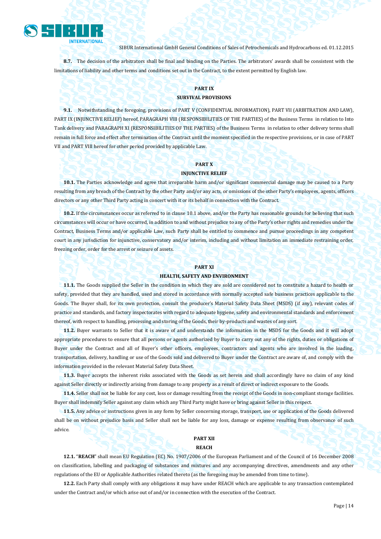

**8.7.** The decision of the arbitrators shall be final and binding on the Parties. The arbitrators' awards shall be consistent with the limitations of liability and other terms and conditions set out in the Contract, to the extent permitted by English law.

#### **PART IX**

#### **SURVIVAL PROVISIONS**

**9.1.** Notwithstanding the foregoing, provisions of PART V (CONFIDENTIAL INFORMATION), PART VII (ARBITRATION AND LAW), PART IX (INJUNCTIVE RELIEF) hereof, PARAGRAPH VIII (RESPONSIBILITIES OF THE PARTIES) of the Business Terms in relation to Into Tank delivery and PARAGRAPH XI (RESPONSIBILITIES OF THE PARTIES) of the Business Terms in relation to other delivery terms shall remain in full force and effect after termination of the Contract until the moment specified in the respective provisions, or in case of PART VII and PART VIII hereof for other period provided by applicable Law.

### **PART X**

### **INJUNCTIVE RELIEF**

**10.1.** The Parties acknowledge and agree that irreparable harm and/or significant commercial damage may be caused to a Party resulting from any breach of the Contract by the other Party and/or any acts, or omissions of the other Party's employees, agents, officers directors or any other Third Party acting in concert with it or its behalf in connection with the Contract.

**10.2.** If the circumstances occur as referred to in clause 10.1 above, and/or the Party has reasonable grounds for believing that such circumstances will occur or have occurred, in addition to and without prejudice to any of the Party's other rights and remedies under the Contract, Business Terms and/or applicable Law, such Party shall be entitled to commence and pursue proceedings in any competent court in any jurisdiction for injunctive, conservatory and/or interim, including and without limitation an immediate restraining order, freezing order, order for the arrest or seizure of assets.

#### **PART XI**

#### **HEALTH, SAFETY AND ENVIRONMENT**

**11.1.** The Goods supplied the Seller in the condition in which they are sold are considered not to constitute a hazard to health or safety, provided that they are handled, used and stored in accordance with normally accepted safe business practices applicable to the Goods. The Buyer shall, for its own protection, consult the producer's Material Safety Data Sheet (MSDS) (if any), relevant codes of practice and standards, and factory inspectorates with regard to adequate hygiene, safety and environmental standards and enforcement thereof, with respect to handling, processing and storing of the Goods, their by-products and wastes of any sort.

**11.2.** Buyer warrants to Seller that it is aware of and understands the information in the MSDS for the Goods and it will adopt appropriate procedures to ensure that all persons or agents authorized by Buyer to carry out any of the rights, duties or obligations of Buyer under the Contract and all of Buyer's other officers, employees, contractors and agents who are involved in the loading, transportation, delivery, handling or use of the Goods sold and delivered to Buyer under the Contract are aware of, and comply with the information provided in the relevant Material Safety Data Sheet.

**11.3.** Buyer accepts the inherent risks associated with the Goods as set herein and shall accordingly have no claim of any kind against Seller directly or indirectly arising from damage to any property as a result of direct or indirect exposure to the Goods.

**11.4.** Seller shall not be liable for any cost, loss or damage resulting from the receipt of the Goods in non-compliant storage facilities. Buyer shall indemnify Seller against any claim which any Third Party might have or bring against Seller in this respect.

**11.5.** Any advice or instructions given in any form by Seller concerning storage, transport, use or application of the Goods delivered shall be on without prejudice basis and Seller shall not be liable for any loss, damage or expense resulting from observance of such advice.

#### **PART XII REACH**

**12.1.** "**REACH**" shall mean EU Regulation (EC) No. 1907/2006 of the European Parliament and of the Council of 16 December 2008 on classification, labelling and packaging of substances and mixtures and any accompanying directives, amendments and any other regulations of the EU or Applicable Authorities related thereto (as the foregoing may be amended from time to time).

**12.2.** Each Party shall comply with any obligations it may have under REACH which are applicable to any transaction contemplated under the Contract and/or which arise out of and/or in connection with the execution of the Contract.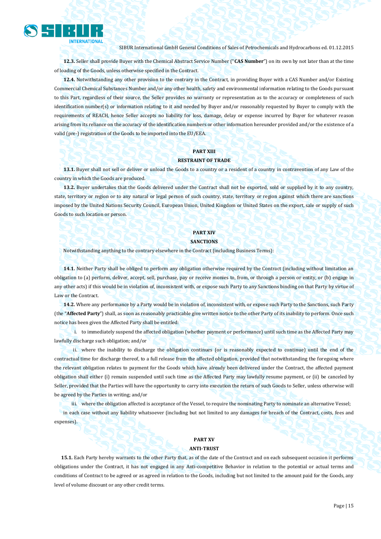

**12.3.** Seller shall provide Buyer with the Chemical Abstract Service Number ("**CAS Number**") on its own by not later than at the time of loading of the Goods, unless otherwise specified in the Contract.

**12.4.** Notwithstanding any other provision to the contrary in the Contract, in providing Buyer with a CAS Number and/or Existing Commercial Chemical Substances Number and/or any other health, safety and environmental information relating to the Goods pursuant to this Part, regardless of their source, the Seller provides no warranty or representation as to the accuracy or completeness of such identification number(s) or information relating to it and needed by Buyer and/or reasonably requested by Buyer to comply with the requirements of REACH, hence Seller accepts no liability for loss, damage, delay or expense incurred by Buyer for whatever reason arising from its reliance on the accuracy of the identification numbers or other information hereunder provided and/or the existence of a valid (pre-) registration of the Goods to be imported into the EU/EEA.

#### **PART XIII RESTRAINT OF TRADE**

**13.1.** Buyer shall not sell or deliver or unload the Goods to a country or a resident of a country in contravention of any Law of the country in which the Goods are produced.

**13.2.** Buyer undertakes that the Goods delivered under the Contract shall not be exported, sold or supplied by it to any country, state, territory or region or to any natural or legal person of such country, state, territory or region against which there are sanctions imposed by the United Nations Security Council, European Union, United Kingdom or United States on the export, sale or supply of such Goods to such location or person.

#### **PART XIV SANCTIONS**

Notwithstanding anything to the contrary elsewhere in the Contract (including Business Terms):

**14.1.** Neither Party shall be obliged to perform any obligation otherwise required by the Contract (including without limitation an obligation to (a) perform, deliver, accept, sell, purchase, pay or receive monies to, from, or through a person or entity, or (b) engage in any other acts) if this would be in violation of, inconsistent with, or expose such Party to any Sanctions binding on that Party by virtue of Law or the Contract.

**14.2.** Where any performance by a Party would be in violation of, inconsistent with, or expose such Party to the Sanctions, such Party (the "**Affected Party**") shall, as soon as reasonably practicable give written notice to the other Party of its inability to perform. Once such notice has been given the Affected Party shall be entitled:

i. to immediately suspend the affected obligation (whether payment or performance) until such time as the Affected Party may lawfully discharge such obligation; and/or

ii. where the inability to discharge the obligation continues (or is reasonably expected to continue) until the end of the contractual time for discharge thereof, to a full release from the affected obligation, provided that notwithstanding the foregoing where the relevant obligation relates to payment for the Goods which have already been delivered under the Contract, the affected payment obligation shall either (i) remain suspended until such time as the Affected Party may lawfully resume payment, or (ii) be canceled by Seller, provided that the Parties will have the opportunity to carry into execution the return of such Goods to Seller, unless otherwise will be agreed by the Parties in writing; and/or

iii. where the obligation affected is acceptance of the Vessel, to require the nominating Party to nominate an alternative Vessel; in each case without any liability whatsoever (including but not limited to any damages for breach of the Contract, costs, fees and expenses).

#### **PART XV**

#### **ANTI-TRUST**

**15.1.** Each Party hereby warrants to the other Party that, as of the date of the Contract and on each subsequent occasion it performs obligations under the Contract, it has not engaged in any Anti-competitive Behavior in relation to the potential or actual terms and conditions of Contract to be agreed or as agreed in relation to the Goods, including but not limited to the amount paid for the Goods, any level of volume discount or any other credit terms.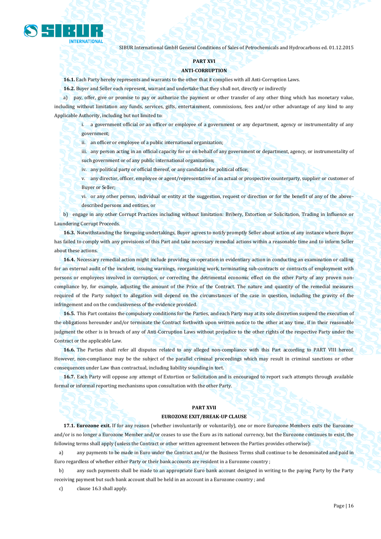

#### **PART XVI**

#### **ANTI-CORRUPTION**

**16.1.** Each Party hereby represents and warrants to the other that it complies with all Anti-Corruption Laws.

**16.2.** Buyer and Seller each represent, warrant and undertake that they shall not, directly or indirectly

a) pay, offer, give or promise to pay or authorize the payment or other transfer of any other thing which has monetary value, including without limitation any funds, services, gifts, entertainment, commissions, fees and/or other advantage of any kind to any Applicable Authority, including but not limited to:

i. a government official or an officer or employee of a government or any department, agency or instrumentality of any government;

ii. an officer or employee of a public international organization;

iii. any person acting in an official capacity for or on behalf of any government or department, agency, or instrumentality of such government or of any public international organization;

iv. any political party or official thereof, or any candidate for political office;

- v. any director, officer, employee or agent/representative of an actual or prospective counterparty, supplier or customer of Buyer or Seller;
- vi. or any other person, individual or entity at the suggestion, request or direction or for the benefit of any of the abovedescribed persons and entities, or

b) engage in any other Corrupt Practices including without limitation: Bribery, Extortion or Solicitation, Trading in Influence or Laundering Corrupt Proceeds.

**16.3.** Notwithstanding the foregoing undertakings, Buyer agrees to notify promptly Seller about action of any instance where Buyer has failed to comply with any provisions of this Part and take necessary remedial actions within a reasonable time and to inform Seller about these actions.

**16.4.** Necessary remedial action might include providing co-operation in evidentiary action in conducting an examination or calling for an external audit of the incident, issuing warnings, reorganizing work, terminating sub-contracts or contracts of employment with persons or employees involved in corruption, or correcting the detrimental economic effect on the other Party of any proven noncompliance by, for example, adjusting the amount of the Price of the Contract. The nature and quantity of the remedial measures required of the Party subject to allegation will depend on the circumstances of the case in question, including the gravity of the infringement and on the conclusiveness of the evidence provided.

**16.5.** This Part contains the compulsory conditions for the Parties, and each Party may at its sole discretion suspend the execution of the obligations hereunder and/or terminate the Contract forthwith upon written notice to the other at any time, if in their reasonable judgment the other is in breach of any of Anti-Corruption Laws without prejudice to the other rights of the respective Party under the Contract or the applicable Law.

**16.6.** The Parties shall refer all disputes related to any alleged non-compliance with this Part according to PART VIII hereof. However, non-compliance may be the subject of the parallel criminal proceedings which may result in criminal sanctions or other consequences under Law than contractual, including liability sounding in tort.

**16.7.** Each Party will oppose any attempt of Extortion or Solicitation and is encouraged to report such attempts through available formal or informal reporting mechanisms upon consultation with the other Party.

#### **PART XVII**

#### **EUROZONE EXIT/BREAK-UP CLAUSE**

**17.1. Eurozone exit.** If for any reason (whether involuntarily or voluntarily), one or more Eurozone Members exits the Eurozone and/or is no longer a Eurozone Member and/or ceases to use the Euro as its national currency, but the Eurozone continues to exist, the following terms shall apply (unless the Contract or other written agreement between the Parties provides otherwise):

a) any payments to be made in Euro under the Contract and/or the Business Terms shall continue to be denominated and paid in Euro regardless of whether either Party or their bank accounts are resident in a Eurozone country ;

b) any such payments shall be made to an appropriate Euro bank account designed in writing to the paying Party by the Party receiving payment but such bank account shall be held in an account in a Eurozone country ; and

c) clause 16.3 shall apply.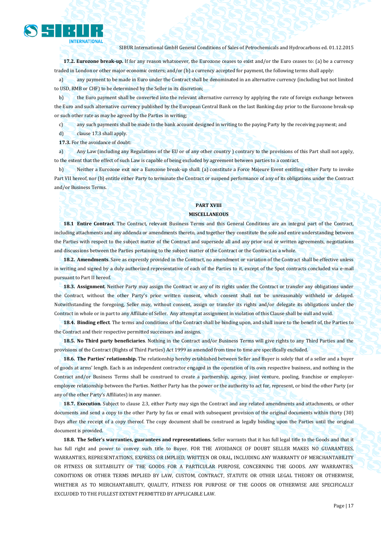

**17.2. Eurozone break-up.** If for any reason whatsoever, the Eurozone ceases to exist and/or the Euro ceases to: (a) be a currency traded in London or other major economic centers; and/or (b) a currency accepted for payment, the following terms shall apply:

a) any payment to be made in Euro under the Contract shall be denominated in an alternative currency (including but not limited to USD, RMB or CHF) to be determined by the Seller in its discretion;

b) the Euro payment shall be converted into the relevant alternative currency by applying the rate of foreign exchange between the Euro and such alternative currency published by the European Central Bank on the last Banking day prior to the Eurozone break-up or such other rate as may be agreed by the Parties in writing;

c) any such payments shall be made to the bank account designed in writing to the paying Party by the receiving payment; and

d) clause 17.3 shall apply.

**17.3.** For the avoidance of doubt:

a) Any Law (including any Regulations of the EU or of any other country ) contrary to the provisions of this Part shall not apply, to the extent that the effect of such Law is capable of being excluded by agreement between parties to a contract.

b) Neither a Eurozone exit nor a Eurozone break-up shall: (a) constitute a Force Majeure Event entitling either Party to invoke Part VII hereof, nor (b) entitle either Party to terminate the Contract or suspend performance of any of its obligations under the Contract and/or Business Terms.

#### **PART XVIII MISCELLANEOUS**

**18.1 Entire Contract**. The Contract, relevant Business Terms and this General Conditions are an integral part of the Contract, including attachments and any addenda or amendments thereto, and together they constitute the sole and entire understanding between the Parties with respect to the subject matter of the Contract and supersede all and any prior oral or written agreements, negotiations and discussions between the Parties pertaining to the subject matter of the Contract or the Contract as a whole.

**18.2. Amendments**. Save as expressly provided in the Contract, no amendment or variation of the Contract shall be effective unless in writing and signed by a duly authorized representative of each of the Parties to it, except of the Spot contracts concluded via e-mail pursuant to Part II hereof.

**18.3. Assignment**. Neither Party may assign the Contract or any of its rights under the Contract or transfer any obligations under the Contract, without the other Party's prior written consent, which consent shall not be unreasonably withheld or delayed. Notwithstanding the foregoing, Seller may, without consent, assign or transfer its rights and/or delegate its obligations under the Contract in whole or in part to any Affiliate of Seller. Any attempt at assignment in violation of this Clause shall be null and void.

**18.4. Binding effect**. The terms and conditions of the Contract shall be binding upon, and shall inure to the benefit of, the Parties to the Contract and their respective permitted successors and assigns.

**18.5. No Third party beneficiaries**. Nothing in the Contract and/or Business Terms will give rights to any Third Parties and the provisions of the Contract (Rights of Third Parties) Act 1999 as amended from time to time are specifically excluded.

**18.6. The Parties' relationship.** The relationship hereby established between Seller and Buyer is solely that of a seller and a buyer of goods at arms' length. Each is an independent contractor engaged in the operation of its own respective business, and nothing in the Contract and/or Business Terms shall be construed to create a partnership, agency, joint venture, pooling, franchise or employeremployee relationship between the Parties. Neither Party has the power or the authority to act for, represent, or bind the other Party (or any of the other Party's Affiliates) in any manner.

**18.7. Execution**. Subject to clause 2.3, either Party may sign the Contract and any related amendments and attachments, or other documents and send a copy to the other Party by fax or email with subsequent provision of the original documents within thirty (30) Days after the receipt of a copy thereof. The copy document shall be construed as legally binding upon the Parties until the original document is provided.

**18.8. The Seller's warranties, guarantees and representations.** Seller warrants that it has full legal title to the Goods and that it has full right and power to convey such title to Buyer. FOR THE AVOIDANCE OF DOUBT SELLER MAKES NO GUARANTEES, WARRANTIES, REPRESENTATIONS, EXPRESS OR IMPLIED, WRITTEN OR ORAL, INCLUDING ANY WARRANTY OF MERCHANTABILITY OR FITNESS OR SUITABILITY OF THE GOODS FOR A PARTICULAR PURPOSE, CONCERNING THE GOODS. ANY WARRANTIES, CONDITIONS OR OTHER TERMS IMPLIED BY LAW, CUSTOM, CONTRACT, STATUTE OR OTHER LEGAL THEORY OR OTHERWISE, WHETHER AS TO MERCHANTABILITY, QUALITY, FITNESS FOR PURPOSE OF THE GOODS OR OTHERWISE ARE SPECIFICALLY EXCLUDED TO THE FULLEST EXTENT PERMITTED BY APPLICABLE LAW.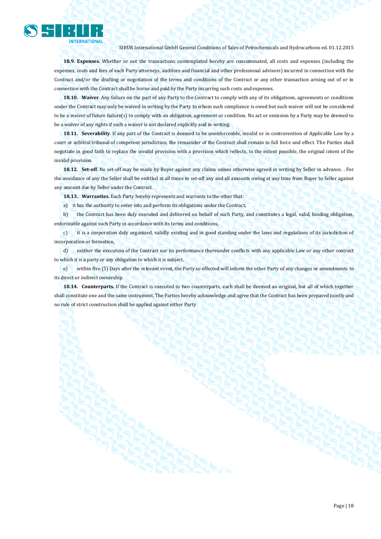

**18.9. Expenses.** Whether or not the transactions contemplated hereby are consummated, all costs and expenses (including the expenses, costs and fees of each Party attorneys, auditors and financial and other professional advisors) incurred in connection with the Contract and/or the drafting or negotiation of the terms and conditions of the Contract or any other transaction arising out of or in connection with the Contract shall be borne and paid by the Party incurring such costs and expenses.

**18.10. Waiver**. Any failure on the part of any Party to the Contract to comply with any of its obligations, agreements or conditions under the Contract may only be waived in writing by the Party to whom such compliance is owed but such waiver will not be considered to be a waiver of future failure(s) to comply with an obligation, agreement or condition. No act or omission by a Party may be deemed to be a waiver of any rights if such a waiver is not declared explicitly and in writing.

**18.11. Severability**. If any part of the Contract is deemed to be unenforceable, invalid or in contravention of Applicable Law by a court or arbitral tribunal of competent jurisdiction, the remainder of the Contract shall remain in full force and effect. The Parties shall negotiate in good faith to replace the invalid provision with a provision which reflects, to the extent possible, the original intent of the invalid provision.

**18.12. Set-off**. No set-off may be made by Buyer against any claims unless otherwise agreed in writing by Seller in advance. . For the avoidance of any the Seller shall be entitled at all times to set-off any and all amounts owing at any time from Buyer to Seller against any amount due by Seller under the Contract.

**18.13. Warranties.** Each Party hereby represents and warrants to the other that:

a) it has the authority to enter into and perform its obligations under the Contract,

b) the Contract has been duly executed and delivered on behalf of such Party, and constitutes a legal, valid, binding obligation, enforceable against such Party in accordance with its terms and conditions,

c) it is a corporation duly organized, validly existing and in good standing under the laws and regulations of its jurisdiction of incorporation or formation,

d) neither the execution of the Contract nor its performance thereunder conflicts with any applicable Law or any other contract to which it is a party or any obligation to which it is subject,

e) within five (5) Days after the relevant event, the Party so effected will inform the other Party of any changes or amendments to its direct or indirect ownership.

**18.14. Counterparts.** If the Contract is executed in two counterparts, each shall be deemed an original, but all of which together shall constitute one and the same instrument. The Parties hereby acknowledge and agree that the Contract has been prepared jointly and no rule of strict construction shall be applied against either Party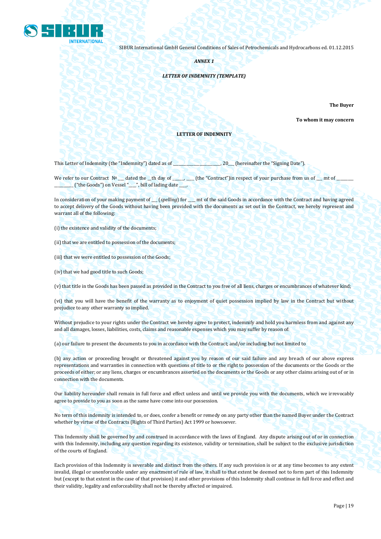

*ANNEX 1*

#### *LETTER OF INDEMNITY (TEMPLATE)*

**The Buyer** 

**To whom it may concern**

#### **LETTER OF INDEMNITY**

This Letter of Indemnity (the "Indemnity") dated as of \_\_\_\_\_\_\_\_\_\_\_\_\_\_\_\_\_\_\_\_\_\_\_\_\_, 20\_\_\_ (hereinafter the "Signing Date").

We refer to our Contract Nº \_\_ dated the \_th day of \_\_\_\_\_\_\_\_ (the "Contract")in respect of your purchase from us of \_\_ mt of \_ \_\_\_\_\_\_\_\_\_\_ ("the Goods") on Vessel "\_\_\_\_", bill of lading date \_\_\_\_.

In consideration of your making payment of \_\_\_\_\_ (*spelling*) for \_\_\_\_ mt of the said Goods in accordance with the Contract and having agreed to accept delivery of the Goods without having been provided with the documents as set out in the Contract, we hereby represent and warrant all of the following:

(i) the existence and validity of the documents;

(ii) that we are entitled to possession of the documents;

(iii) that we were entitled to possession of the Goods;

(iv) that we had good title to such Goods;

(v) that title in the Goods has been passed as provided in the Contract to you free of all liens, charges or encumbrances of whatever kind;

(vi) that you will have the benefit of the warranty as to enjoyment of quiet possession implied by law in the Contract but without prejudice to any other warranty so implied.

Without prejudice to your rights under the Contract we hereby agree to protect, indemnify and hold you harmless from and against any and all damages, losses, liabilities, costs, claims and reasonable expenses which you may suffer by reason of:

(a) our failure to present the documents to you in accordance with the Contract; and/or including but not limited to

(b) any action or proceeding brought or threatened against you by reason of our said failure and any breach of our above express representations and warranties in connection with questions of title to or the right to possession of the documents or the Goods or the proceeds of either; or any liens, charges or encumbrances asserted on the documents or the Goods or any other claims arising out of or in connection with the documents.

Our liability hereunder shall remain in full force and effect unless and until we provide you with the documents, which we irrevocably agree to provide to you as soon as the same have come into our possession.

No term of this indemnity is intended to, or does, confer a benefit or remedy on any party other than the named Buyer under the Contract whether by virtue of the Contracts (Rights of Third Parties) Act 1999 or howsoever.

This Indemnity shall be governed by and construed in accordance with the laws of England. Any dispute arising out of or in connection with this Indemnity, including any question regarding its existence, validity or termination, shall be subject to the exclusive jurisdiction of the courts of England.

Each provision of this Indemnity is severable and distinct from the others. If any such provision is or at any time becomes to any extent invalid, illegal or unenforceable under any enactment of rule of law, it shall to that extent be deemed not to form part of this Indemnity but (except to that extent in the case of that provision) it and other provisions of this Indemnity shall continue in full force and effect and their validity, legality and enforceability shall not be thereby affected or impaired.